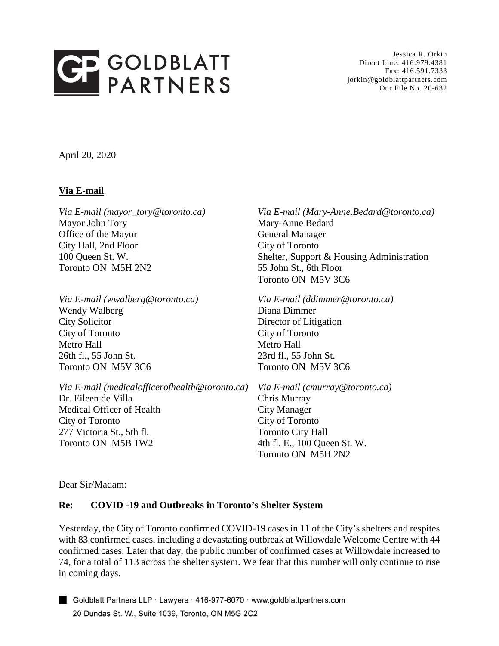

Jessica R. Orkin Direct Line: 416.979.4381 Fax: 416.591.7333 jorkin@goldblattpartners.com Our File No. 20-632

April 20, 2020

### **Via E-mail**

*Via E-mail (mayor\_tory@toronto.ca)* Mayor John Tory Office of the Mayor City Hall, 2nd Floor 100 Queen St. W. Toronto ON M5H 2N2

*Via E-mail (wwalberg@toronto.ca)* Wendy Walberg City Solicitor City of Toronto Metro Hall 26th fl., 55 John St. Toronto ON M5V 3C6

*Via E-mail (medicalofficerofhealth@toronto.ca)* Dr. Eileen de Villa Medical Officer of Health City of Toronto

277 Victoria St., 5th fl. Toronto ON M5B 1W2 *Via E-mail (Mary-Anne.Bedard@toronto.ca)* Mary-Anne Bedard General Manager City of Toronto Shelter, Support & Housing Administration 55 John St., 6th Floor Toronto ON M5V 3C6

*Via E-mail (ddimmer@toronto.ca)* Diana Dimmer Director of Litigation City of Toronto Metro Hall 23rd fl., 55 John St. Toronto ON M5V 3C6

*Via E-mail (cmurray@toronto.ca)* Chris Murray City Manager City of Toronto Toronto City Hall 4th fl. E., 100 Queen St. W. Toronto ON M5H 2N2

Dear Sir/Madam:

#### **Re: COVID -19 and Outbreaks in Toronto's Shelter System**

Yesterday, the City of Toronto confirmed COVID-19 cases in 11 of the City's shelters and respites with 83 confirmed cases, including a devastating outbreak at Willowdale Welcome Centre with 44 confirmed cases. Later that day, the public number of confirmed cases at Willowdale increased to 74, for a total of 113 across the shelter system. We fear that this number will only continue to rise in coming days.

Goldblatt Partners LLP · Lawyers · 416-977-6070 · www.goldblattpartners.com 20 Dundas St. W., Suite 1039, Toronto, ON M5G 2C2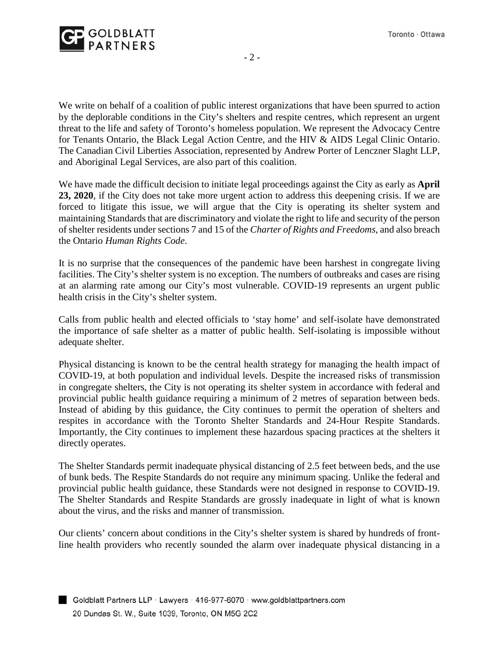

We write on behalf of a coalition of public interest organizations that have been spurred to action by the deplorable conditions in the City's shelters and respite centres, which represent an urgent threat to the life and safety of Toronto's homeless population. We represent the Advocacy Centre for Tenants Ontario, the Black Legal Action Centre, and the HIV & AIDS Legal Clinic Ontario. The Canadian Civil Liberties Association, represented by Andrew Porter of Lenczner Slaght LLP, and Aboriginal Legal Services, are also part of this coalition.

We have made the difficult decision to initiate legal proceedings against the City as early as **April 23, 2020**, if the City does not take more urgent action to address this deepening crisis. If we are forced to litigate this issue, we will argue that the City is operating its shelter system and maintaining Standards that are discriminatory and violate the right to life and security of the person of shelter residents under sections 7 and 15 of the *Charter of Rights and Freedoms*, and also breach the Ontario *Human Rights Code*.

It is no surprise that the consequences of the pandemic have been harshest in congregate living facilities. The City's shelter system is no exception. The numbers of outbreaks and cases are rising at an alarming rate among our City's most vulnerable. COVID-19 represents an urgent public health crisis in the City's shelter system.

Calls from public health and elected officials to 'stay home' and self-isolate have demonstrated the importance of safe shelter as a matter of public health. Self-isolating is impossible without adequate shelter.

Physical distancing is known to be the central health strategy for managing the health impact of COVID-19, at both population and individual levels. Despite the increased risks of transmission in congregate shelters, the City is not operating its shelter system in accordance with federal and provincial public health guidance requiring a minimum of 2 metres of separation between beds. Instead of abiding by this guidance, the City continues to permit the operation of shelters and respites in accordance with the Toronto Shelter Standards and 24-Hour Respite Standards. Importantly, the City continues to implement these hazardous spacing practices at the shelters it directly operates.

The Shelter Standards permit inadequate physical distancing of 2.5 feet between beds, and the use of bunk beds. The Respite Standards do not require any minimum spacing. Unlike the federal and provincial public health guidance, these Standards were not designed in response to COVID-19. The Shelter Standards and Respite Standards are grossly inadequate in light of what is known about the virus, and the risks and manner of transmission.

Our clients' concern about conditions in the City's shelter system is shared by hundreds of frontline health providers who recently sounded the alarm over inadequate physical distancing in a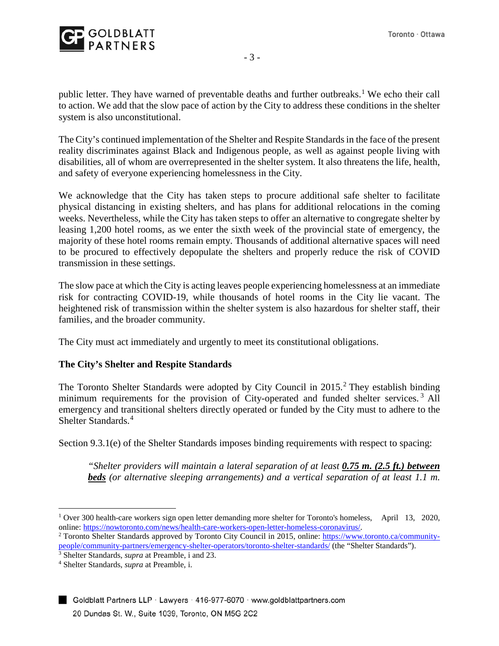

public letter. They have warned of preventable deaths and further outbreaks.<sup>[1](#page-2-0)</sup> We echo their call to action. We add that the slow pace of action by the City to address these conditions in the shelter system is also unconstitutional.

The City's continued implementation of the Shelter and Respite Standards in the face of the present reality discriminates against Black and Indigenous people, as well as against people living with disabilities, all of whom are overrepresented in the shelter system. It also threatens the life, health, and safety of everyone experiencing homelessness in the City.

We acknowledge that the City has taken steps to procure additional safe shelter to facilitate physical distancing in existing shelters, and has plans for additional relocations in the coming weeks. Nevertheless, while the City has taken steps to offer an alternative to congregate shelter by leasing 1,200 hotel rooms, as we enter the sixth week of the provincial state of emergency, the majority of these hotel rooms remain empty. Thousands of additional alternative spaces will need to be procured to effectively depopulate the shelters and properly reduce the risk of COVID transmission in these settings.

The slow pace at which the City is acting leaves people experiencing homelessness at an immediate risk for contracting COVID-19, while thousands of hotel rooms in the City lie vacant. The heightened risk of transmission within the shelter system is also hazardous for shelter staff, their families, and the broader community.

The City must act immediately and urgently to meet its constitutional obligations.

# **The City's Shelter and Respite Standards**

The Toronto Shelter Standards were adopted by City Council in [2](#page-2-1)015.<sup>2</sup> They establish binding minimum requirements for the provision of City-operated and funded shelter services.<sup>[3](#page-2-2)</sup> All emergency and transitional shelters directly operated or funded by the City must to adhere to the Shelter Standards.<sup>[4](#page-2-3)</sup>

Section 9.3.1(e) of the Shelter Standards imposes binding requirements with respect to spacing:

*"Shelter providers will maintain a lateral separation of at least 0.75 m. (2.5 ft.) between beds (or alternative sleeping arrangements) and a vertical separation of at least 1.1 m.* 

<span id="page-2-0"></span> <sup>1</sup> Over 300 health-care workers sign open letter demanding more shelter for Toronto's homeless, April 13, 2020, online: https://nowtoronto.com/news/health-care-workers-open-letter-homeless-coronavirus/.<br><sup>2</sup> Toronto Shelter Standards approved by Toronto City Council in 2015, online: [https://www.toronto.ca/community-](https://www.toronto.ca/community-people/community-partners/emergency-shelter-operators/toronto-shelter-standards/)

<span id="page-2-1"></span>people/community-partners/emergency-shelter-operators/toronto-shelter-standards/ (the "Shelter Standards"). 3 Shelter Standards, *supra* at Preamble, i and 23.

<span id="page-2-2"></span>

<span id="page-2-3"></span><sup>4</sup> Shelter Standards, *supra* at Preamble, i.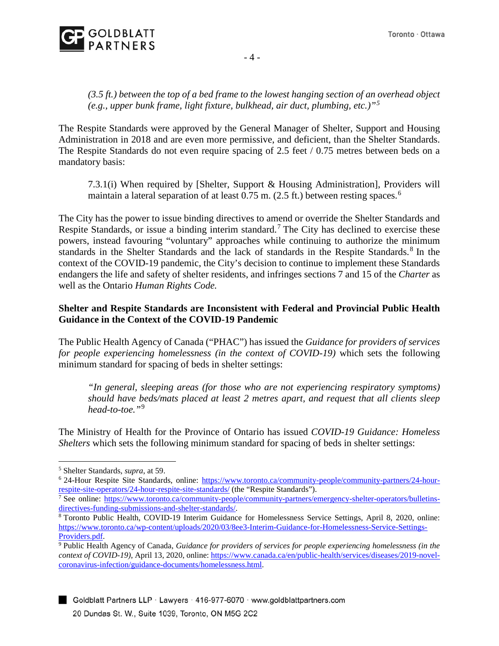

## *(3.5 ft.) between the top of a bed frame to the lowest hanging section of an overhead object (e.g., upper bunk frame, light fixture, bulkhead, air duct, plumbing, etc.)"[5](#page-3-0)*

The Respite Standards were approved by the General Manager of Shelter, Support and Housing Administration in 2018 and are even more permissive, and deficient, than the Shelter Standards. The Respite Standards do not even require spacing of 2.5 feet / 0.75 metres between beds on a mandatory basis:

7.3.1(i) When required by [Shelter, Support & Housing Administration], Providers will maintain a lateral separation of at least 0.75 m. (2.5 ft.) between resting spaces.<sup>[6](#page-3-1)</sup>

The City has the power to issue binding directives to amend or override the Shelter Standards and Respite Standards, or issue a binding interim standard.<sup>[7](#page-3-2)</sup> The City has declined to exercise these powers, instead favouring "voluntary" approaches while continuing to authorize the minimum standards in the Shelter Standards and the lack of standards in the Respite Standards.<sup>[8](#page-3-3)</sup> In the context of the COVID-19 pandemic, the City's decision to continue to implement these Standards endangers the life and safety of shelter residents, and infringes sections 7 and 15 of the *Charter* as well as the Ontario *Human Rights Code.* 

# **Shelter and Respite Standards are Inconsistent with Federal and Provincial Public Health Guidance in the Context of the COVID-19 Pandemic**

The Public Health Agency of Canada ("PHAC") has issued the *Guidance for providers of services for people experiencing homelessness (in the context of COVID-19)* which sets the following minimum standard for spacing of beds in shelter settings:

*"In general, sleeping areas (for those who are not experiencing respiratory symptoms) should have beds/mats placed at least 2 metres apart, and request that all clients sleep head-to-toe."*[9](#page-3-4)

The Ministry of Health for the Province of Ontario has issued *COVID-19 Guidance: Homeless Shelters* which sets the following minimum standard for spacing of beds in shelter settings:

<span id="page-3-0"></span> <sup>5</sup> Shelter Standards, *supra*, at 59.

<span id="page-3-1"></span><sup>&</sup>lt;sup>6</sup> 24-Hour Respite Site Standards, online: https://www.toronto.ca/community-people/community-partners/24-hour-<br>respite-site-operators/24-hour-respite-site-standards/ (the "Respite Standards").

<span id="page-3-2"></span> $\frac{7}{7}$  See online: https://www.toronto.ca/community-people/community-partners/emergency-shelter-operators/bulletins-<br>directives-funding-submissions-and-shelter-standards/.

<span id="page-3-3"></span><sup>&</sup>lt;sup>8</sup> Toronto Public Health, COVID-19 Interim Guidance for Homelessness Service Settings, April 8, 2020, online: [https://www.toronto.ca/wp-content/uploads/2020/03/8ee3-Interim-Guidance-for-Homelessness-Service-Settings-](https://www.toronto.ca/wp-content/uploads/2020/03/8ee3-Interim-Guidance-for-Homelessness-Service-Settings-Providers.pdf)[Providers.pdf.](https://www.toronto.ca/wp-content/uploads/2020/03/8ee3-Interim-Guidance-for-Homelessness-Service-Settings-Providers.pdf)

<span id="page-3-4"></span><sup>9</sup> Public Health Agency of Canada, *Guidance for providers of services for people experiencing homelessness (in the context of COVID-19*), April 13, 2020, online: [https://www.canada.ca/en/public-health/services/diseases/2019-novel](https://www.canada.ca/en/public-health/services/diseases/2019-novel-coronavirus-infection/guidance-documents/homelessness.html)[coronavirus-infection/guidance-documents/homelessness.html.](https://www.canada.ca/en/public-health/services/diseases/2019-novel-coronavirus-infection/guidance-documents/homelessness.html)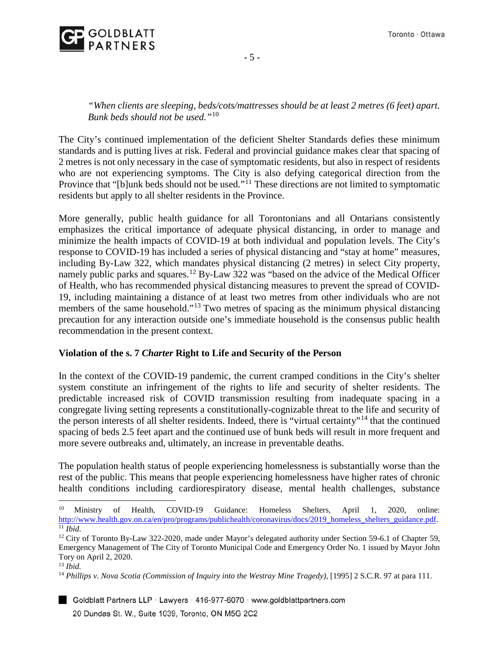- 5 -

*"When clients are sleeping, beds/cots/mattresses should be at least 2 metres (6 feet) apart. Bunk beds should not be used."*[10](#page-4-0)

The City's continued implementation of the deficient Shelter Standards defies these minimum standards and is putting lives at risk. Federal and provincial guidance makes clear that spacing of 2 metres is not only necessary in the case of symptomatic residents, but also in respect of residents who are not experiencing symptoms. The City is also defying categorical direction from the Province that "[b]unk beds should not be used."<sup>[11](#page-4-1)</sup> These directions are not limited to symptomatic residents but apply to all shelter residents in the Province.

More generally, public health guidance for all Torontonians and all Ontarians consistently emphasizes the critical importance of adequate physical distancing, in order to manage and minimize the health impacts of COVID-19 at both individual and population levels. The City's response to COVID-19 has included a series of physical distancing and "stay at home" measures, including By-Law 322, which mandates physical distancing (2 metres) in select City property, namely public parks and squares.<sup>[12](#page-4-2)</sup> By-Law 322 was "based on the advice of the Medical Officer of Health, who has recommended physical distancing measures to prevent the spread of COVID-19, including maintaining a distance of at least two metres from other individuals who are not members of the same household."<sup>[13](#page-4-3)</sup> Two metres of spacing as the minimum physical distancing precaution for any interaction outside one's immediate household is the consensus public health recommendation in the present context.

# **Violation of the s. 7** *Charter* **Right to Life and Security of the Person**

In the context of the COVID-19 pandemic, the current cramped conditions in the City's shelter system constitute an infringement of the rights to life and security of shelter residents. The predictable increased risk of COVID transmission resulting from inadequate spacing in a congregate living setting represents a constitutionally-cognizable threat to the life and security of the person interests of all shelter residents. Indeed, there is "virtual certainty"[14](#page-4-4) that the continued spacing of beds 2.5 feet apart and the continued use of bunk beds will result in more frequent and more severe outbreaks and, ultimately, an increase in preventable deaths.

The population health status of people experiencing homelessness is substantially worse than the rest of the public. This means that people experiencing homelessness have higher rates of chronic health conditions including cardiorespiratory disease, mental health challenges, substance

Goldblatt Partners LLP · Lawyers · 416-977-6070 · www.goldblattpartners.com 20 Dundas St. W., Suite 1039, Toronto, ON M5G 2C2

<span id="page-4-0"></span><sup>10</sup> Ministry of Health, COVID-19 Guidance: Homeless Shelters, April 1, 2020, online: [http://www.health.gov.on.ca/en/pro/programs/publichealth/coronavirus/docs/2019\\_homeless\\_shelters\\_guidance.pdf.](http://www.health.gov.on.ca/en/pro/programs/publichealth/coronavirus/docs/2019_homeless_shelters_guidance.pdf) <sup>11</sup> *Ibid.* 

<span id="page-4-2"></span><span id="page-4-1"></span> $12$  City of Toronto By-Law 322-2020, made under Mayor's delegated authority under Section 59-6.1 of Chapter 59, Emergency Management of The City of Toronto Municipal Code and Emergency Order No. 1 issued by Mayor John Tory on April 2, 2020.

<span id="page-4-3"></span><sup>13</sup> *Ibid.* 

<span id="page-4-4"></span><sup>14</sup> *Phillips v. Nova Scotia (Commission of Inquiry into the Westray Mine Tragedy),* [1995] 2 S.C.R. 97 at para 111.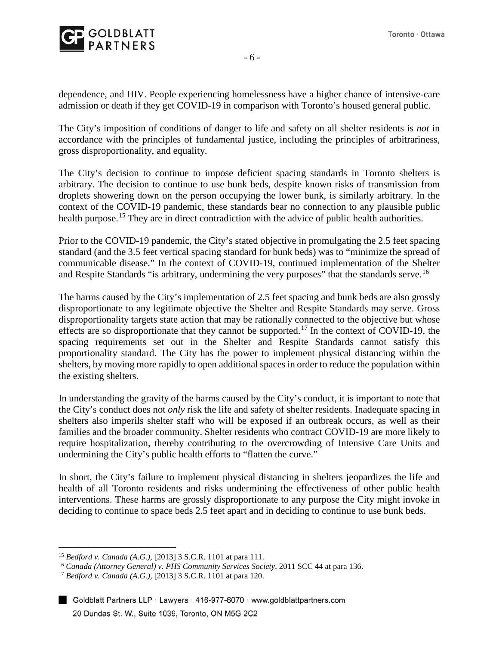

dependence, and HIV. People experiencing homelessness have a higher chance of intensive-care admission or death if they get COVID-19 in comparison with Toronto's housed general public.

The City's imposition of conditions of danger to life and safety on all shelter residents is *not* in accordance with the principles of fundamental justice, including the principles of arbitrariness, gross disproportionality, and equality.

The City's decision to continue to impose deficient spacing standards in Toronto shelters is arbitrary. The decision to continue to use bunk beds, despite known risks of transmission from droplets showering down on the person occupying the lower bunk, is similarly arbitrary. In the context of the COVID-19 pandemic, these standards bear no connection to any plausible public health purpose.<sup>[15](#page-5-0)</sup> They are in direct contradiction with the advice of public health authorities.

Prior to the COVID-19 pandemic, the City's stated objective in promulgating the 2.5 feet spacing standard (and the 3.5 feet vertical spacing standard for bunk beds) was to "minimize the spread of communicable disease." In the context of COVID-19, continued implementation of the Shelter and Respite Standards "is arbitrary, undermining the very purposes" that the standards serve.<sup>[16](#page-5-1)</sup>

The harms caused by the City's implementation of 2.5 feet spacing and bunk beds are also grossly disproportionate to any legitimate objective the Shelter and Respite Standards may serve. Gross disproportionality targets state action that may be rationally connected to the objective but whose effects are so disproportionate that they cannot be supported.<sup>[17](#page-5-2)</sup> In the context of COVID-19, the spacing requirements set out in the Shelter and Respite Standards cannot satisfy this proportionality standard. The City has the power to implement physical distancing within the shelters, by moving more rapidly to open additional spaces in order to reduce the population within the existing shelters.

In understanding the gravity of the harms caused by the City's conduct, it is important to note that the City's conduct does not *only* risk the life and safety of shelter residents. Inadequate spacing in shelters also imperils shelter staff who will be exposed if an outbreak occurs, as well as their families and the broader community. Shelter residents who contract COVID-19 are more likely to require hospitalization, thereby contributing to the overcrowding of Intensive Care Units and undermining the City's public health efforts to "flatten the curve."

In short, the City's failure to implement physical distancing in shelters jeopardizes the life and health of all Toronto residents and risks undermining the effectiveness of other public health interventions. These harms are grossly disproportionate to any purpose the City might invoke in deciding to continue to space beds 2.5 feet apart and in deciding to continue to use bunk beds.

<span id="page-5-1"></span><span id="page-5-0"></span><sup>&</sup>lt;sup>15</sup> Bedford v. Canada (A.G.), [2013] 3 S.C.R. 1101 at para 111.<br><sup>16</sup> Canada (Attorney General) v. *PHS Community Services Society*, 2011 SCC 44 at para 136.<br><sup>17</sup> Bedford v. Canada (A.G.), [2013] 3 S.C.R. 1101 at para 120

<span id="page-5-2"></span>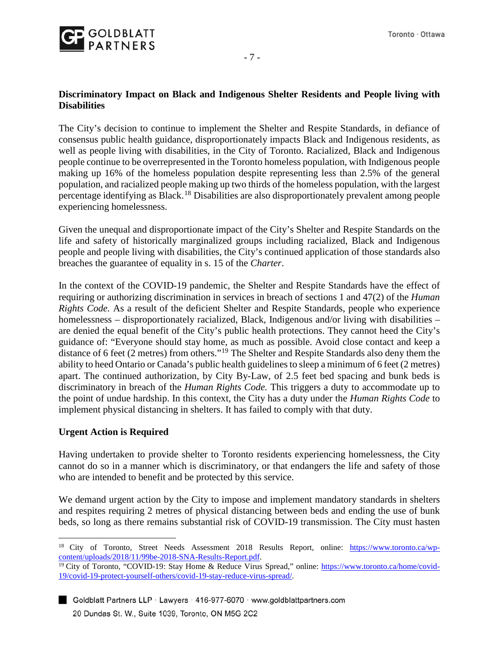

# **Discriminatory Impact on Black and Indigenous Shelter Residents and People living with Disabilities**

The City's decision to continue to implement the Shelter and Respite Standards, in defiance of consensus public health guidance, disproportionately impacts Black and Indigenous residents, as well as people living with disabilities, in the City of Toronto. Racialized, Black and Indigenous people continue to be overrepresented in the Toronto homeless population, with Indigenous people making up 16% of the homeless population despite representing less than 2.5% of the general population, and racialized people making up two thirds of the homeless population, with the largest percentage identifying as Black.<sup>[18](#page-6-0)</sup> Disabilities are also disproportionately prevalent among people experiencing homelessness.

Given the unequal and disproportionate impact of the City's Shelter and Respite Standards on the life and safety of historically marginalized groups including racialized, Black and Indigenous people and people living with disabilities, the City's continued application of those standards also breaches the guarantee of equality in s. 15 of the *Charter*.

In the context of the COVID-19 pandemic, the Shelter and Respite Standards have the effect of requiring or authorizing discrimination in services in breach of sections 1 and 47(2) of the *Human Rights Code.* As a result of the deficient Shelter and Respite Standards, people who experience homelessness – disproportionately racialized, Black, Indigenous and/or living with disabilities – are denied the equal benefit of the City's public health protections. They cannot heed the City's guidance of: "Everyone should stay home, as much as possible. Avoid close contact and keep a distance of 6 feet (2 metres) from others."<sup>[19](#page-6-1)</sup> The Shelter and Respite Standards also deny them the ability to heed Ontario or Canada's public health guidelines to sleep a minimum of 6 feet (2 metres) apart. The continued authorization, by City By-Law, of 2.5 feet bed spacing and bunk beds is discriminatory in breach of the *Human Rights Code.* This triggers a duty to accommodate up to the point of undue hardship. In this context, the City has a duty under the *Human Rights Code* to implement physical distancing in shelters. It has failed to comply with that duty.

#### **Urgent Action is Required**

Having undertaken to provide shelter to Toronto residents experiencing homelessness, the City cannot do so in a manner which is discriminatory, or that endangers the life and safety of those who are intended to benefit and be protected by this service.

We demand urgent action by the City to impose and implement mandatory standards in shelters and respites requiring 2 metres of physical distancing between beds and ending the use of bunk beds, so long as there remains substantial risk of COVID-19 transmission. The City must hasten

<span id="page-6-0"></span><sup>&</sup>lt;sup>18</sup> City of Toronto, Street Needs Assessment 2018 Results Report, online: https://www.toronto.ca/wp-content/uploads/2018/11/99be-2018-SNA-Results-Report.pdf.

<span id="page-6-1"></span><sup>&</sup>lt;sup>19</sup> City of Toronto, "COVID-19: Stay Home & Reduce Virus Spread," online: [https://www.toronto.ca/home/covid-](https://www.toronto.ca/home/covid-19/covid-19-protect-yourself-others/covid-19-stay-reduce-virus-spread/)[19/covid-19-protect-yourself-others/covid-19-stay-reduce-virus-spread/.](https://www.toronto.ca/home/covid-19/covid-19-protect-yourself-others/covid-19-stay-reduce-virus-spread/)